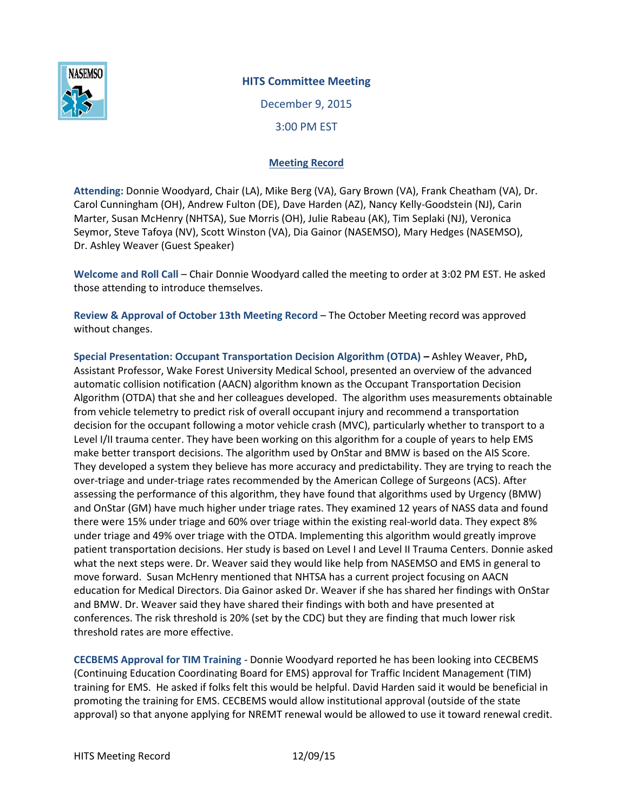

## **HITS Committee Meeting**

December 9, 2015 3:00 PM EST

## **Meeting Record**

**Attending:** Donnie Woodyard, Chair (LA), Mike Berg (VA), Gary Brown (VA), Frank Cheatham (VA), Dr. Carol Cunningham (OH), Andrew Fulton (DE), Dave Harden (AZ), Nancy Kelly-Goodstein (NJ), Carin Marter, Susan McHenry (NHTSA), Sue Morris (OH), Julie Rabeau (AK), Tim Seplaki (NJ), Veronica Seymor, Steve Tafoya (NV), Scott Winston (VA), Dia Gainor (NASEMSO), Mary Hedges (NASEMSO), Dr. Ashley Weaver (Guest Speaker)

**Welcome and Roll Call** – Chair Donnie Woodyard called the meeting to order at 3:02 PM EST. He asked those attending to introduce themselves.

**Review & Approval of October 13th Meeting Record** – The October Meeting record was approved without changes.

**Special Presentation: Occupant Transportation Decision Algorithm (OTDA) –** Ashley Weaver, PhD**,**  Assistant Professor, Wake Forest University Medical School, presented an overview of the advanced automatic collision notification (AACN) algorithm known as the Occupant Transportation Decision Algorithm (OTDA) that she and her colleagues developed. The algorithm uses measurements obtainable from vehicle telemetry to predict risk of overall occupant injury and recommend a transportation decision for the occupant following a motor vehicle crash (MVC), particularly whether to transport to a Level I/II trauma center. They have been working on this algorithm for a couple of years to help EMS make better transport decisions. The algorithm used by OnStar and BMW is based on the AIS Score. They developed a system they believe has more accuracy and predictability. They are trying to reach the over-triage and under-triage rates recommended by the American College of Surgeons (ACS). After assessing the performance of this algorithm, they have found that algorithms used by Urgency (BMW) and OnStar (GM) have much higher under triage rates. They examined 12 years of NASS data and found there were 15% under triage and 60% over triage within the existing real-world data. They expect 8% under triage and 49% over triage with the OTDA. Implementing this algorithm would greatly improve patient transportation decisions. Her study is based on Level I and Level II Trauma Centers. Donnie asked what the next steps were. Dr. Weaver said they would like help from NASEMSO and EMS in general to move forward. Susan McHenry mentioned that NHTSA has a current project focusing on AACN education for Medical Directors. Dia Gainor asked Dr. Weaver if she has shared her findings with OnStar and BMW. Dr. Weaver said they have shared their findings with both and have presented at conferences. The risk threshold is 20% (set by the CDC) but they are finding that much lower risk threshold rates are more effective.

**CECBEMS Approval for TIM Training** - Donnie Woodyard reported he has been looking into CECBEMS (Continuing Education Coordinating Board for EMS) approval for Traffic Incident Management (TIM) training for EMS. He asked if folks felt this would be helpful. David Harden said it would be beneficial in promoting the training for EMS. CECBEMS would allow institutional approval (outside of the state approval) so that anyone applying for NREMT renewal would be allowed to use it toward renewal credit.